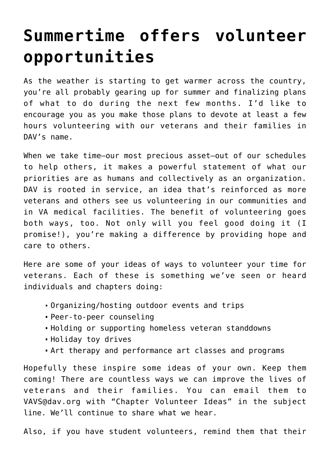## **[Summertime offers volunteer](https://www.dav.org/learn-more/news/2022/summertime-offers-volunteer-opportunities/) [opportunities](https://www.dav.org/learn-more/news/2022/summertime-offers-volunteer-opportunities/)**

As the weather is starting to get warmer across the country, you're all probably gearing up for summer and finalizing plans of what to do during the next few months. I'd like to encourage you as you make those plans to devote at least a few hours volunteering with our veterans and their families in DAV's name.

When we take time—our most precious asset—out of our schedules to help others, it makes a powerful statement of what our priorities are as humans and collectively as an organization. DAV is rooted in service, an idea that's reinforced as more veterans and others see us volunteering in our communities and in VA medical facilities. The benefit of volunteering goes both ways, too. Not only will you feel good doing it (I promise!), you're making a difference by providing hope and care to others.

Here are some of your ideas of ways to volunteer your time for veterans. Each of these is something we've seen or heard individuals and chapters doing:

- Organizing/hosting outdoor events and trips
- Peer-to-peer counseling
- Holding or supporting homeless veteran standdowns
- Holiday toy drives
- Art therapy and performance art classes and programs

Hopefully these inspire some ideas of your own. Keep them coming! There are countless ways we can improve the lives of veterans and their families. You can email them to [VAVS@dav.org](mailto:vavs@dav.org) with "Chapter Volunteer Ideas" in the subject line. We'll continue to share what we hear.

Also, if you have student volunteers, remind them that their